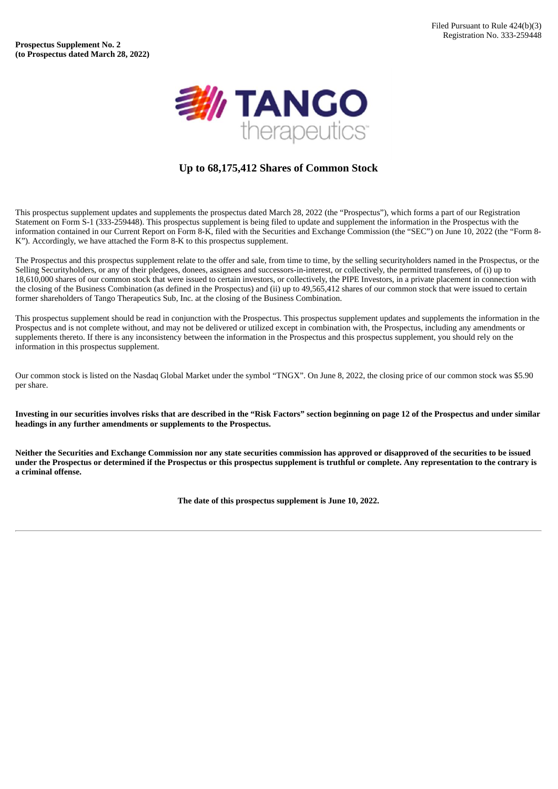

# **Up to 68,175,412 Shares of Common Stock**

This prospectus supplement updates and supplements the prospectus dated March 28, 2022 (the "Prospectus"), which forms a part of our Registration Statement on Form S-1 (333-259448). This prospectus supplement is being filed to update and supplement the information in the Prospectus with the information contained in our Current Report on Form 8-K, filed with the Securities and Exchange Commission (the "SEC") on June 10, 2022 (the "Form 8- K"). Accordingly, we have attached the Form 8-K to this prospectus supplement.

The Prospectus and this prospectus supplement relate to the offer and sale, from time to time, by the selling securityholders named in the Prospectus, or the Selling Securityholders, or any of their pledgees, donees, assignees and successors-in-interest, or collectively, the permitted transferees, of (i) up to 18,610,000 shares of our common stock that were issued to certain investors, or collectively, the PIPE Investors, in a private placement in connection with the closing of the Business Combination (as defined in the Prospectus) and (ii) up to 49,565,412 shares of our common stock that were issued to certain former shareholders of Tango Therapeutics Sub, Inc. at the closing of the Business Combination.

This prospectus supplement should be read in conjunction with the Prospectus. This prospectus supplement updates and supplements the information in the Prospectus and is not complete without, and may not be delivered or utilized except in combination with, the Prospectus, including any amendments or supplements thereto. If there is any inconsistency between the information in the Prospectus and this prospectus supplement, you should rely on the information in this prospectus supplement.

Our common stock is listed on the Nasdaq Global Market under the symbol "TNGX". On June 8, 2022, the closing price of our common stock was \$5.90 per share.

Investing in our securities involves risks that are described in the "Risk Factors" section beginning on page 12 of the Prospectus and under similar **headings in any further amendments or supplements to the Prospectus.**

Neither the Securities and Exchange Commission nor any state securities commission has approved or disapproved of the securities to be issued under the Prospectus or determined if the Prospectus or this prospectus supplement is truthful or complete. Any representation to the contrary is **a criminal offense.**

**The date of this prospectus supplement is June 10, 2022.**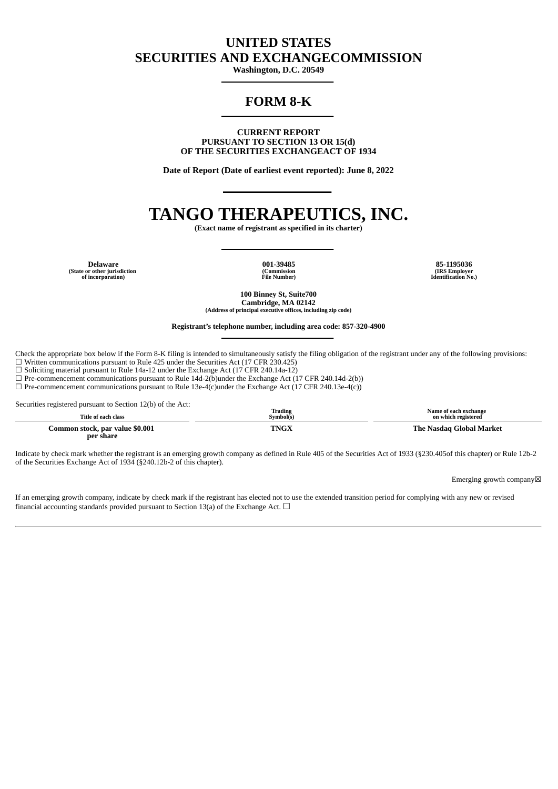# **UNITED STATES SECURITIES AND EXCHANGECOMMISSION**

**Washington, D.C. 20549**

# **FORM 8-K**

**CURRENT REPORT PURSUANT TO SECTION 13 OR 15(d) OF THE SECURITIES EXCHANGEACT OF 1934**

**Date of Report (Date of earliest event reported): June 8, 2022**

# **TANGO THERAPEUTICS, INC.**

**(Exact name of registrant as specified in its charter)**

**Delaware 001-39485 85-1195036 (State or other jurisdiction of incorporation)**

**(Commission File Number)**

**(IRS Employer Identification No.)**

**100 Binney St, Suite700 Cambridge, MA 02142 (Address of principal executive offices, including zip code)**

#### **Registrant's telephone number, including area code: 857-320-4900**

Check the appropriate box below if the Form 8-K filing is intended to simultaneously satisfy the filing obligation of the registrant under any of the following provisions:  $\Box$  Written communications pursuant to Rule 425 under the Securities Act (17 CFR 230.425)

 $\square$  Soliciting material pursuant to Rule 14a-12 under the Exchange Act (17 CFR 240.14a-12)

 $\Box$  Pre-commencement communications pursuant to Rule 14d-2(b)under the Exchange Act (17 CFR 240.14d-2(b))

 $\Box$  Pre-commencement communications pursuant to Rule 13e-4(c)under the Exchange Act (17 CFR 240.13e-4(c))

Securities registered pursuant to Section 12(b) of the Act:

| Title of each class                          | <b>Trading</b><br>Svmbol(s) | Name of each exchange<br>on which registered |
|----------------------------------------------|-----------------------------|----------------------------------------------|
| Common stock, par value \$0.001<br>per share | TNGX                        | The Nasdag Global Market                     |

Indicate by check mark whether the registrant is an emerging growth company as defined in Rule 405 of the Securities Act of 1933 (§230.405of this chapter) or Rule 12b-2 of the Securities Exchange Act of 1934 (§240.12b-2 of this chapter).

Emerging growth company☒

If an emerging growth company, indicate by check mark if the registrant has elected not to use the extended transition period for complying with any new or revised financial accounting standards provided pursuant to Section 13(a) of the Exchange Act.  $\Box$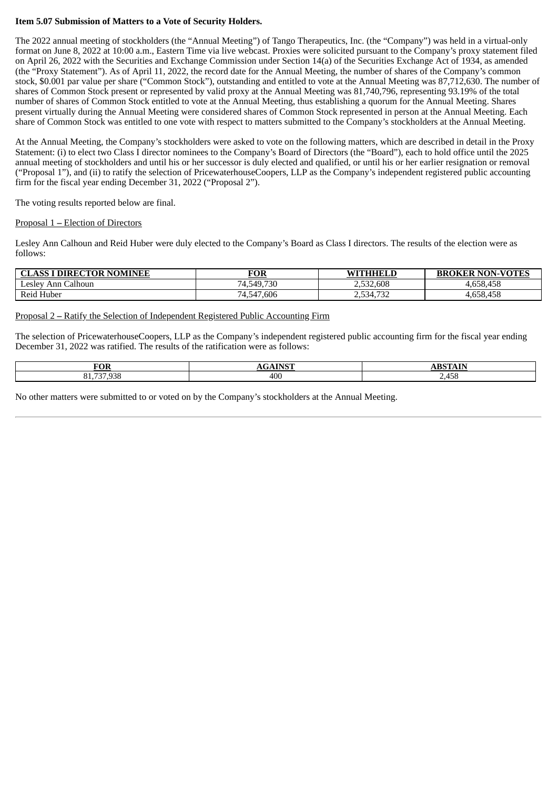### **Item 5.07 Submission of Matters to a Vote of Security Holders.**

The 2022 annual meeting of stockholders (the "Annual Meeting") of Tango Therapeutics, Inc. (the "Company") was held in a virtual-only format on June 8, 2022 at 10:00 a.m., Eastern Time via live webcast. Proxies were solicited pursuant to the Company's proxy statement filed on April 26, 2022 with the Securities and Exchange Commission under Section 14(a) of the Securities Exchange Act of 1934, as amended (the "Proxy Statement"). As of April 11, 2022, the record date for the Annual Meeting, the number of shares of the Company's common stock, \$0.001 par value per share ("Common Stock"), outstanding and entitled to vote at the Annual Meeting was 87,712,630. The number of shares of Common Stock present or represented by valid proxy at the Annual Meeting was 81,740,796, representing 93.19% of the total number of shares of Common Stock entitled to vote at the Annual Meeting, thus establishing a quorum for the Annual Meeting. Shares present virtually during the Annual Meeting were considered shares of Common Stock represented in person at the Annual Meeting. Each share of Common Stock was entitled to one vote with respect to matters submitted to the Company's stockholders at the Annual Meeting.

At the Annual Meeting, the Company's stockholders were asked to vote on the following matters, which are described in detail in the Proxy Statement: (i) to elect two Class I director nominees to the Company's Board of Directors (the "Board"), each to hold office until the 2025 annual meeting of stockholders and until his or her successor is duly elected and qualified, or until his or her earlier resignation or removal ("Proposal 1"), and (ii) to ratify the selection of PricewaterhouseCoopers, LLP as the Company's independent registered public accounting firm for the fiscal year ending December 31, 2022 ("Proposal 2").

The voting results reported below are final.

#### Proposal 1 **–** Election of Directors

Lesley Ann Calhoun and Reid Huber were duly elected to the Company's Board as Class I directors. The results of the election were as follows:

| <b>CLASS I DIRECTOR NOMINEE</b>              | <b>FOR</b> | <b>WITHHELD</b> | <b>BROKER NON-VOTES</b> |
|----------------------------------------------|------------|-----------------|-------------------------|
| Ann Calhoun<br>$\triangle$ eslev $\triangle$ | 74,549,730 | 2,532,608       | 4.658.458               |
| Reid Huber                                   | 74,547,606 | 2,534,732       | 4,658,458               |

Proposal 2 **–** Ratify the Selection of Independent Registered Public Accounting Firm

The selection of PricewaterhouseCoopers, LLP as the Company's independent registered public accounting firm for the fiscal year ending December 31, 2022 was ratified. The results of the ratification were as follows:

| $\sigma$ $\alpha$ r<br>'∪к        | <b>A TATCTT</b><br>$\cdots$ | <b>IDCT</b><br>$\sim$ $\sim$ $\sim$ $\sim$ $\sim$ $\sim$<br>┓╻╷ |
|-----------------------------------|-----------------------------|-----------------------------------------------------------------|
| <b>707.000</b><br>01<br>∼<br>ັບ⊥∙ | 400                         | A5.<br>2.TJU                                                    |

No other matters were submitted to or voted on by the Company's stockholders at the Annual Meeting.